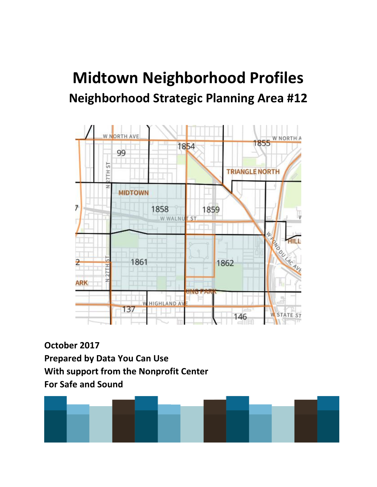# **Midtown Neighborhood Profiles Neighborhood Strategic Planning Area #12**



**October 2017 Prepared by Data You Can Use With support from the Nonprofit Center For Safe and Sound**

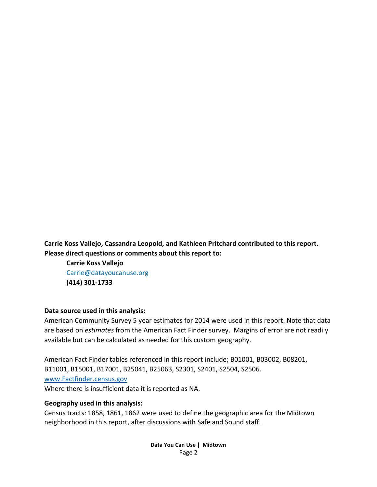**Carrie Koss Vallejo, Cassandra Leopold, and Kathleen Pritchard contributed to this report. Please direct questions or comments about this report to:**

**Carrie Koss Vallejo** Carrie@datayoucanuse.org **(414) 301-1733**

#### **Data source used in this analysis:**

American Community Survey 5 year estimates for 2014 were used in this report. Note that data are based on *estimates* from the American Fact Finder survey. Margins of error are not readily available but can be calculated as needed for this custom geography.

American Fact Finder tables referenced in this report include; B01001, B03002, B08201, B11001, B15001, B17001, B25041, B25063, S2301, S2401, S2504, S2506. [www.Factfinder.census.gov](http://www.factfinder.census.gov/)  Where there is insufficient data it is reported as NA.

#### **Geography used in this analysis:**

Census tracts: 1858, 1861, 1862 were used to define the geographic area for the Midtown neighborhood in this report, after discussions with Safe and Sound staff.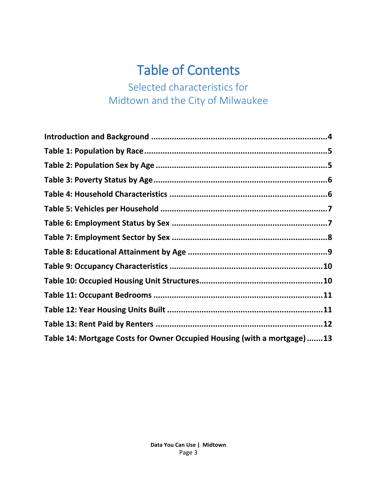# Table of Contents

Selected characteristics for Midtown and the City of Milwaukee

| Table 14: Mortgage Costs for Owner Occupied Housing (with a mortgage)13 |  |
|-------------------------------------------------------------------------|--|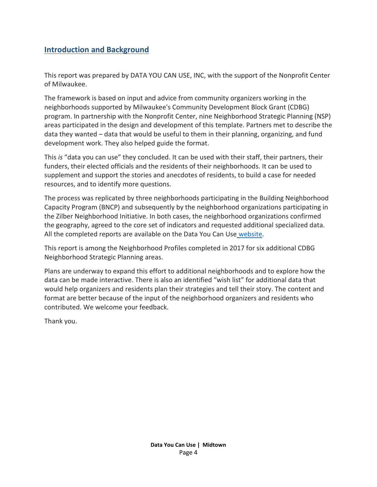#### **Introduction and Background**

This report was prepared by DATA YOU CAN USE, INC, with the support of the Nonprofit Center of Milwaukee.

The framework is based on input and advice from community organizers working in the neighborhoods supported by Milwaukee's Community Development Block Grant (CDBG) program. In partnership with the Nonprofit Center, nine Neighborhood Strategic Planning (NSP) areas participated in the design and development of this template. Partners met to describe the data they wanted – data that would be useful to them in their planning, organizing, and fund development work. They also helped guide the format.

This *is* "data you can use" they concluded. It can be used with their staff, their partners, their funders, their elected officials and the residents of their neighborhoods. It can be used to supplement and support the stories and anecdotes of residents, to build a case for needed resources, and to identify more questions.

The process was replicated by three neighborhoods participating in the Building Neighborhood Capacity Program (BNCP) and subsequently by the neighborhood organizations participating in the Zilber Neighborhood Initiative. In both cases, the neighborhood organizations confirmed the geography, agreed to the core set of indicators and requested additional specialized data. All the completed reports are available on the Data You Can Use [website.](http://datayoucanuse.org/reports-and-presentations/)

This report is among the Neighborhood Profiles completed in 2017 for six additional CDBG Neighborhood Strategic Planning areas.

Plans are underway to expand this effort to additional neighborhoods and to explore how the data can be made interactive. There is also an identified "wish list" for additional data that would help organizers and residents plan their strategies and tell their story. The content and format are better because of the input of the neighborhood organizers and residents who contributed. We welcome your feedback.

Thank you.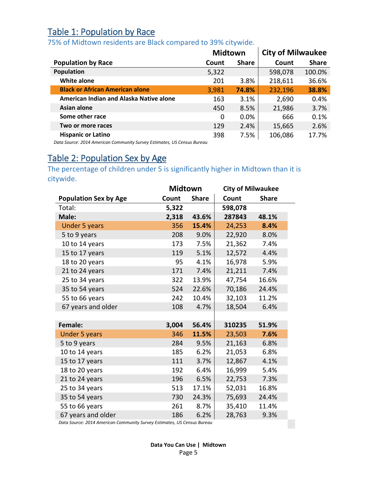## Table 1: Population by Race

#### 75% of Midtown residents are Black compared to 39% citywide.

|                                         | <b>Midtown</b> |              | <b>City of Milwaukee</b> |              |  |
|-----------------------------------------|----------------|--------------|--------------------------|--------------|--|
| <b>Population by Race</b>               | Count          | <b>Share</b> | Count                    | <b>Share</b> |  |
| Population                              | 5,322          |              | 598,078                  | 100.0%       |  |
| <b>White alone</b>                      | 201            | 3.8%         | 218,611                  | 36.6%        |  |
| <b>Black or African American alone</b>  | 3,981          | 74.8%        | 232,196                  | 38.8%        |  |
| American Indian and Alaska Native alone | 163            | 3.1%         | 2,690                    | 0.4%         |  |
| Asian alone                             | 450            | 8.5%         | 21,986                   | 3.7%         |  |
| Some other race                         | 0              | $0.0\%$      | 666                      | 0.1%         |  |
| Two or more races                       | 129            | 2.4%         | 15,665                   | 2.6%         |  |
| <b>Hispanic or Latino</b>               | 398            | 7.5%         | 106,086                  | 17.7%        |  |

*Data Source: 2014 American Community Survey Estimates, US Census Bureau*

### <span id="page-4-0"></span>Table 2: Population Sex by Age

The percentage of children under 5 is significantly higher in Midtown than it is citywide.

|                              | <b>Midtown</b> |              | <b>City of Milwaukee</b> |              |  |
|------------------------------|----------------|--------------|--------------------------|--------------|--|
| <b>Population Sex by Age</b> | Count          | <b>Share</b> | Count                    | <b>Share</b> |  |
| Total:                       | 5,322          |              | 598,078                  |              |  |
| Male:                        | 2,318          | 43.6%        | 287843                   | 48.1%        |  |
| <b>Under 5 years</b>         | 356            | 15.4%        | 24,253                   | 8.4%         |  |
| 5 to 9 years                 | 208            | 9.0%         | 22,920                   | 8.0%         |  |
| 10 to 14 years               | 173            | 7.5%         | 21,362                   | 7.4%         |  |
| 15 to 17 years               | 119            | 5.1%         | 12,572                   | 4.4%         |  |
| 18 to 20 years               | 95             | 4.1%         | 16,978                   | 5.9%         |  |
| 21 to 24 years               | 171            | 7.4%         | 21,211                   | 7.4%         |  |
| 25 to 34 years               | 322            | 13.9%        | 47,754                   | 16.6%        |  |
| 35 to 54 years               | 524            | 22.6%        | 70,186                   | 24.4%        |  |
| 55 to 66 years               | 242            | 10.4%        | 32,103                   | 11.2%        |  |
| 67 years and older           | 108            | 4.7%         | 18,504                   | 6.4%         |  |
|                              |                |              |                          |              |  |
| Female:                      | 3,004          | 56.4%        | 310235                   | 51.9%        |  |
| <b>Under 5 years</b>         | 346            | 11.5%        | 23,503                   | 7.6%         |  |
| 5 to 9 years                 | 284            | 9.5%         | 21,163                   | 6.8%         |  |
| 10 to 14 years               | 185            | 6.2%         | 21,053                   | 6.8%         |  |
| 15 to 17 years               | 111            | 3.7%         | 12,867                   | 4.1%         |  |
| 18 to 20 years               | 192            | 6.4%         | 16,999                   | 5.4%         |  |
| 21 to 24 years               | 196            | 6.5%         | 22,753                   | 7.3%         |  |
| 25 to 34 years               | 513            | 17.1%        | 52,031                   | 16.8%        |  |
| 35 to 54 years               | 730            | 24.3%        | 75,693                   | 24.4%        |  |
| 55 to 66 years               | 261            | 8.7%         | 35,410                   | 11.4%        |  |
| 67 years and older           | 186            | 6.2%         | 28,763                   | 9.3%         |  |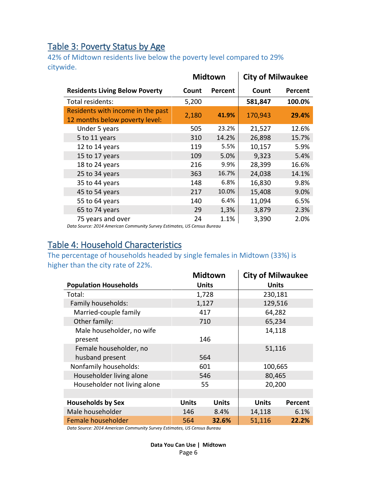### <span id="page-5-0"></span>Table 3: Poverty Status by Age

42% of Midtown residents live below the poverty level compared to 29% citywide.

|                                                                     |       | <b>Midtown</b> | <b>City of Milwaukee</b> |         |  |
|---------------------------------------------------------------------|-------|----------------|--------------------------|---------|--|
| <b>Residents Living Below Poverty</b>                               | Count | Percent        | Count                    | Percent |  |
| Total residents:                                                    | 5,200 |                | 581,847                  | 100.0%  |  |
| Residents with income in the past<br>12 months below poverty level: | 2,180 | 41.9%          | 170,943                  | 29.4%   |  |
| Under 5 years                                                       | 505   | 23.2%          | 21,527                   | 12.6%   |  |
| 5 to 11 years                                                       | 310   | 14.2%          | 26,898                   | 15.7%   |  |
| 12 to 14 years                                                      | 119   | 5.5%           | 10,157                   | 5.9%    |  |
| 15 to 17 years                                                      | 109   | 5.0%           | 9,323                    | 5.4%    |  |
| 18 to 24 years                                                      | 216   | 9.9%           | 28,399                   | 16.6%   |  |
| 25 to 34 years                                                      | 363   | 16.7%          | 24,038                   | 14.1%   |  |
| 35 to 44 years                                                      | 148   | 6.8%           | 16,830                   | 9.8%    |  |
| 45 to 54 years                                                      | 217   | 10.0%          | 15,408                   | 9.0%    |  |
| 55 to 64 years                                                      | 140   | 6.4%           | 11,094                   | 6.5%    |  |
| 65 to 74 years                                                      | 29    | 1,3%           | 3,879                    | 2.3%    |  |
| 75 years and over                                                   | 24    | 1.1%           | 3,390                    | 2.0%    |  |

*Data Source: 2014 American Community Survey Estimates, US Census Bureau*

### <span id="page-5-1"></span>Table 4: Household Characteristics

The percentage of households headed by single females in Midtown (33%) is higher than the city rate of 22%. **Midtown City of Milwaukee**

|                              |              | Midtown      | <b>City of Milwaukee</b> |         |
|------------------------------|--------------|--------------|--------------------------|---------|
| <b>Population Households</b> |              | <b>Units</b> | <b>Units</b>             |         |
| Total:                       |              | 1,728        | 230,181                  |         |
| Family households:           |              | 1,127        | 129,516                  |         |
| Married-couple family        |              | 417          | 64,282                   |         |
| Other family:                |              | 710          | 65,234                   |         |
| Male householder, no wife    |              |              | 14,118                   |         |
| present                      |              | 146          |                          |         |
| Female householder, no       |              |              | 51,116                   |         |
| husband present              |              | 564          |                          |         |
| Nonfamily households:        |              | 601          | 100,665                  |         |
| Householder living alone     |              | 546          | 80,465                   |         |
| Householder not living alone |              | 55           | 20,200                   |         |
|                              |              |              |                          |         |
| <b>Households by Sex</b>     | <b>Units</b> | <b>Units</b> | <b>Units</b>             | Percent |
| Male householder             | 146          | 8.4%         | 14,118                   | 6.1%    |
| Female householder           | 564          | 32.6%        | 51,116                   | 22.2%   |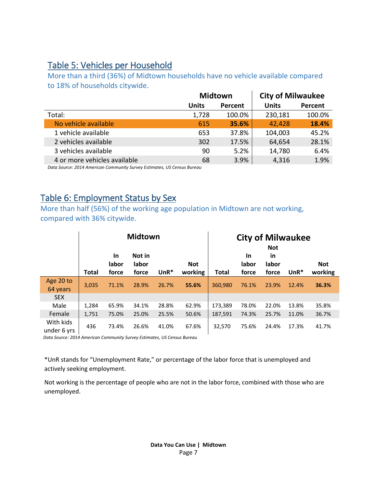#### <span id="page-6-0"></span>Table 5: Vehicles per Household

More than a third (36%) of Midtown households have no vehicle available compared to 18% of households citywide.

| <b>Units</b> | Percent | <b>Units</b>   | Percent                  |
|--------------|---------|----------------|--------------------------|
| 1,728        | 100.0%  | 230,181        | 100.0%                   |
| 615          | 35.6%   | 42,428         | 18.4%                    |
| 653          | 37.8%   | 104,003        | 45.2%                    |
| 302          | 17.5%   | 64,654         | 28.1%                    |
| 90           | 5.2%    | 14,780         | 6.4%                     |
| 68           | 3.9%    | 4,316          | 1.9%                     |
|              |         | <b>Midtown</b> | <b>City of Milwaukee</b> |

*Data Source: 2014 American Community Survey Estimates, US Census Bureau*

### <span id="page-6-1"></span>Table 6: Employment Status by Sex

More than half (56%) of the working age population in Midtown are not working, compared with 36% citywide.

|                          | <b>Midtown</b> |                             |                          |         |                       | <b>City of Milwaukee</b><br><b>Not</b> |                             |                             |        |                       |
|--------------------------|----------------|-----------------------------|--------------------------|---------|-----------------------|----------------------------------------|-----------------------------|-----------------------------|--------|-----------------------|
|                          | <b>Total</b>   | <b>In</b><br>labor<br>force | Not in<br>labor<br>force | $UnR^*$ | <b>Not</b><br>working | Total                                  | <b>In</b><br>labor<br>force | <b>in</b><br>labor<br>force | $UnR*$ | <b>Not</b><br>working |
| Age 20 to<br>64 years    | 3.035          | 71.1%                       | 28.9%                    | 26.7%   | 55.6%                 | 360,980                                | 76.1%                       | 23.9%                       | 12.4%  | 36.3%                 |
| <b>SEX</b>               |                |                             |                          |         |                       |                                        |                             |                             |        |                       |
| Male                     | 1,284          | 65.9%                       | 34.1%                    | 28.8%   | 62.9%                 | 173,389                                | 78.0%                       | 22.0%                       | 13.8%  | 35.8%                 |
| Female                   | 1,751          | 75.0%                       | 25.0%                    | 25.5%   | 50.6%                 | 187,591                                | 74.3%                       | 25.7%                       | 11.0%  | 36.7%                 |
| With kids<br>under 6 yrs | 436            | 73.4%                       | 26.6%                    | 41.0%   | 67.6%                 | 32,570                                 | 75.6%                       | 24.4%                       | 17.3%  | 41.7%                 |

*Data Source: 2014 American Community Survey Estimates, US Census Bureau*

\*UnR stands for "Unemployment Rate," or percentage of the labor force that is unemployed and actively seeking employment.

Not working is the percentage of people who are not in the labor force, combined with those who are unemployed.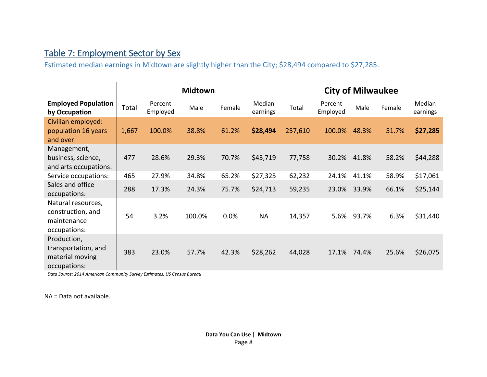## Table 7: Employment Sector by Sex

Estimated median earnings in Midtown are slightly higher than the City; \$28,494 compared to \$27,285.

<span id="page-7-0"></span>

|                                                                        | <b>Midtown</b> |                     |        |        |                    | <b>City of Milwaukee</b> |                     |       |        |                    |
|------------------------------------------------------------------------|----------------|---------------------|--------|--------|--------------------|--------------------------|---------------------|-------|--------|--------------------|
| <b>Employed Population</b><br>by Occupation                            | Total          | Percent<br>Employed | Male   | Female | Median<br>earnings | Total                    | Percent<br>Employed | Male  | Female | Median<br>earnings |
| Civilian employed:<br>population 16 years<br>and over                  | 1,667          | 100.0%              | 38.8%  | 61.2%  | \$28,494           | 257,610                  | 100.0%              | 48.3% | 51.7%  | \$27,285           |
| Management,<br>business, science,<br>and arts occupations:             | 477            | 28.6%               | 29.3%  | 70.7%  | \$43,719           | 77,758                   | 30.2%               | 41.8% | 58.2%  | \$44,288           |
| Service occupations:                                                   | 465            | 27.9%               | 34.8%  | 65.2%  | \$27,325           | 62,232                   | 24.1%               | 41.1% | 58.9%  | \$17,061           |
| Sales and office<br>occupations:                                       | 288            | 17.3%               | 24.3%  | 75.7%  | \$24,713           | 59,235                   | 23.0%               | 33.9% | 66.1%  | \$25,144           |
| Natural resources,<br>construction, and<br>maintenance<br>occupations: | 54             | 3.2%                | 100.0% | 0.0%   | <b>NA</b>          | 14,357                   | 5.6%                | 93.7% | 6.3%   | \$31,440           |
| Production,<br>transportation, and<br>material moving<br>occupations:  | 383            | 23.0%               | 57.7%  | 42.3%  | \$28,262           | 44,028                   | 17.1%               | 74.4% | 25.6%  | \$26,075           |

*Data Source: 2014 American Community Survey Estimates, US Census Bureau*

NA = Data not available.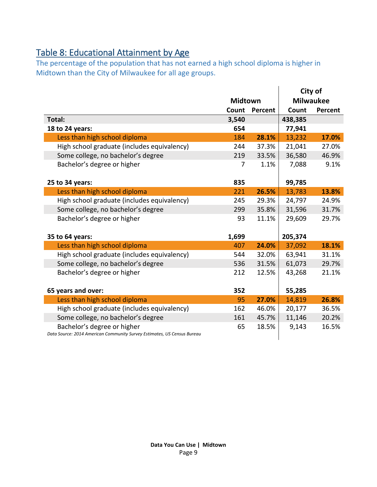# <span id="page-8-0"></span>Table 8: Educational Attainment by Age

The percentage of the population that has not earned a high school diploma is higher in Midtown than the City of Milwaukee for all age groups.

|                                                                                                        |                |         |                  | City of |
|--------------------------------------------------------------------------------------------------------|----------------|---------|------------------|---------|
|                                                                                                        | <b>Midtown</b> |         | <b>Milwaukee</b> |         |
|                                                                                                        | Count          | Percent | Count            | Percent |
| Total:                                                                                                 | 3,540          |         | 438,385          |         |
| 18 to 24 years:                                                                                        | 654            |         | 77,941           |         |
| Less than high school diploma                                                                          | 184            | 28.1%   | 13,232           | 17.0%   |
| High school graduate (includes equivalency)                                                            | 244            | 37.3%   | 21,041           | 27.0%   |
| Some college, no bachelor's degree                                                                     | 219            | 33.5%   | 36,580           | 46.9%   |
| Bachelor's degree or higher                                                                            | 7              | 1.1%    | 7,088            | 9.1%    |
|                                                                                                        |                |         |                  |         |
| 25 to 34 years:                                                                                        | 835            |         | 99,785           |         |
| Less than high school diploma                                                                          | 221            | 26.5%   | 13,783           | 13.8%   |
| High school graduate (includes equivalency)                                                            | 245            | 29.3%   | 24,797           | 24.9%   |
| Some college, no bachelor's degree                                                                     | 299            | 35.8%   | 31,596           | 31.7%   |
| Bachelor's degree or higher                                                                            | 93             | 11.1%   | 29,609           | 29.7%   |
|                                                                                                        |                |         |                  |         |
| 35 to 64 years:                                                                                        | 1,699          |         | 205,374          |         |
| Less than high school diploma                                                                          | 407            | 24.0%   | 37,092           | 18.1%   |
| High school graduate (includes equivalency)                                                            | 544            | 32.0%   | 63,941           | 31.1%   |
| Some college, no bachelor's degree                                                                     | 536            | 31.5%   | 61,073           | 29.7%   |
| Bachelor's degree or higher                                                                            | 212            | 12.5%   | 43,268           | 21.1%   |
|                                                                                                        |                |         |                  |         |
| 65 years and over:                                                                                     | 352            |         | 55,285           |         |
| Less than high school diploma                                                                          | 95             | 27.0%   | 14,819           | 26.8%   |
| High school graduate (includes equivalency)                                                            | 162            | 46.0%   | 20,177           | 36.5%   |
| Some college, no bachelor's degree                                                                     | 161            | 45.7%   | 11,146           | 20.2%   |
| Bachelor's degree or higher<br>Data Source: 2014 American Community Survey Estimates, US Census Bureau | 65             | 18.5%   | 9,143            | 16.5%   |
|                                                                                                        |                |         |                  |         |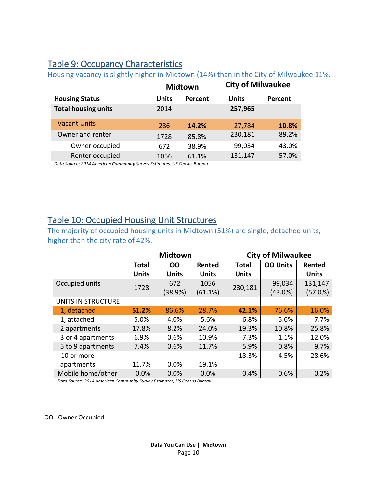### <span id="page-9-0"></span>Table 9: Occupancy Characteristics

**Midtown City of Milwaukee Housing Status Units Percent Units Percent Total housing units** 2014 **257,965** Vacant Units 286 **14.2%** 27,784 **10.8%** Owner and renter 1728 85.8% 230,181 89.2% Owner occupied 672 38.9% 99,034 43.0% Renter occupied 1056 61.1% 131,147 57.0%

Housing vacancy is slightly higher in Midtown (14%) than in the City of Milwaukee 11%.

*Data Source: 2014 American Community Survey Estimates, US Census Bureau*

#### <span id="page-9-1"></span>Table 10: Occupied Housing Unit Structures

The majority of occupied housing units in Midtown (51%) are single, detached units, higher than the city rate of 42%.  $\overline{1}$ 

|                    |              | <b>Midtown</b> |              | <b>City of Milwaukee</b> |                 |              |  |
|--------------------|--------------|----------------|--------------|--------------------------|-----------------|--------------|--|
|                    | <b>Total</b> | <b>OO</b>      | Rented       | <b>Total</b>             | <b>OO Units</b> | Rented       |  |
|                    | <b>Units</b> | <b>Units</b>   | <b>Units</b> | <b>Units</b>             |                 | <b>Units</b> |  |
| Occupied units     | 1728         | 672            | 1056         |                          | 99,034          | 131,147      |  |
|                    |              | (38.9%)        | (61.1%)      | 230,181                  | $(43.0\%)$      | (57.0%)      |  |
| UNITS IN STRUCTURE |              |                |              |                          |                 |              |  |
| 1, detached        | 51.2%        | 86.6%          | 28.7%        | 42.1%                    | 76.6%           | 16.0%        |  |
| 1, attached        | 5.0%         | 4.0%           | 5.6%         | 6.8%                     | 5.6%            | 7.7%         |  |
| 2 apartments       | 17.8%        | 8.2%           | 24.0%        | 19.3%                    | 10.8%           | 25.8%        |  |
| 3 or 4 apartments  | 6.9%         | 0.6%           | 10.9%        | 7.3%                     | 1.1%            | 12.0%        |  |
| 5 to 9 apartments  | 7.4%         | 0.6%           | 11.7%        | 5.9%                     | 0.8%            | 9.7%         |  |
| 10 or more         |              |                |              | 18.3%                    | 4.5%            | 28.6%        |  |
| apartments         | 11.7%        | 0.0%           | 19.1%        |                          |                 |              |  |
| Mobile home/other  | 0.0%         | 0.0%           | 0.0%         | 0.4%                     | 0.6%            | 0.2%         |  |

*Data Source: 2014 American Community Survey Estimates, US Census Bureau*

OO= Owner Occupied.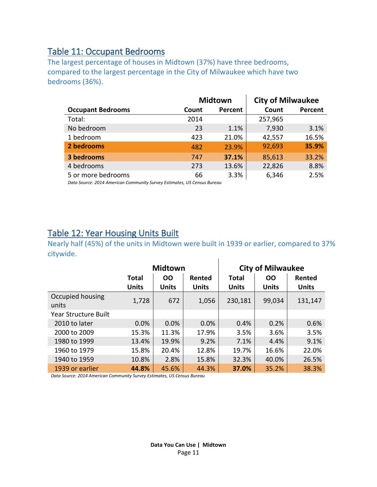#### <span id="page-10-0"></span>Table 11: Occupant Bedrooms

The largest percentage of houses in Midtown (37%) have three bedrooms, compared to the largest percentage in the City of Milwaukee which have two bedrooms (36%).

|                          |       | <b>Midtown</b> | <b>City of Milwaukee</b> |         |  |
|--------------------------|-------|----------------|--------------------------|---------|--|
| <b>Occupant Bedrooms</b> | Count | Percent        | Count                    | Percent |  |
| Total:                   | 2014  |                | 257,965                  |         |  |
| No bedroom               | 23    | 1.1%           | 7,930                    | 3.1%    |  |
| 1 bedroom                | 423   | 21.0%          | 42,557                   | 16.5%   |  |
| 2 bedrooms               | 482   | 23.9%          | 92,693                   | 35.9%   |  |
| 3 bedrooms               | 747   | 37.1%          | 85,613                   | 33.2%   |  |
| 4 bedrooms               | 273   | 13.6%          | 22,826                   | 8.8%    |  |
| 5 or more bedrooms       | 66    | 3.3%           | 6,346                    | 2.5%    |  |

*Data Source: 2014 American Community Survey Estimates, US Census Bureau*

### <span id="page-10-1"></span>Table 12: Year Housing Units Built

Nearly half (45%) of the units in Midtown were built in 1939 or earlier, compared to 37% citywide.  $\overline{1}$ 

|                             |                              | <b>Midtown</b>            |                        |                              | <b>City of Milwaukee</b>  |                        |
|-----------------------------|------------------------------|---------------------------|------------------------|------------------------------|---------------------------|------------------------|
|                             | <b>Total</b><br><b>Units</b> | <b>OO</b><br><b>Units</b> | Rented<br><b>Units</b> | <b>Total</b><br><b>Units</b> | <b>OO</b><br><b>Units</b> | Rented<br><b>Units</b> |
| Occupied housing<br>units   | 1,728                        | 672                       | 1,056                  | 230,181                      | 99,034                    | 131,147                |
| <b>Year Structure Built</b> |                              |                           |                        |                              |                           |                        |
| 2010 to later               | 0.0%                         | 0.0%                      | 0.0%                   | 0.4%                         | 0.2%                      | 0.6%                   |
| 2000 to 2009                | 15.3%                        | 11.3%                     | 17.9%                  | 3.5%                         | 3.6%                      | 3.5%                   |
| 1980 to 1999                | 13.4%                        | 19.9%                     | 9.2%                   | 7.1%                         | 4.4%                      | 9.1%                   |
| 1960 to 1979                | 15.8%                        | 20.4%                     | 12.8%                  | 19.7%                        | 16.6%                     | 22.0%                  |
| 1940 to 1959                | 10.8%                        | 2.8%                      | 15.8%                  | 32.3%                        | 40.0%                     | 26.5%                  |
| 1939 or earlier             | 44.8%                        | 45.6%                     | 44.3%                  | 37.0%                        | 35.2%                     | 38.3%                  |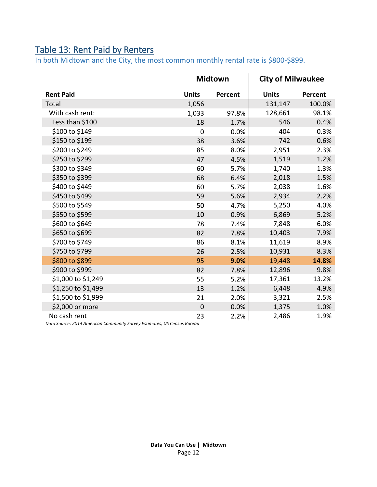# <span id="page-11-0"></span>Table 13: Rent Paid by Renters

In both Midtown and the City, the most common monthly rental rate is \$800-\$899.

|                    | <b>Midtown</b> |         | <b>City of Milwaukee</b> |         |
|--------------------|----------------|---------|--------------------------|---------|
| <b>Rent Paid</b>   | <b>Units</b>   | Percent | <b>Units</b>             | Percent |
| Total              | 1,056          |         | 131,147                  | 100.0%  |
| With cash rent:    | 1,033          | 97.8%   | 128,661                  | 98.1%   |
| Less than \$100    | 18             | 1.7%    | 546                      | 0.4%    |
| \$100 to \$149     | $\overline{0}$ | 0.0%    | 404                      | 0.3%    |
| \$150 to \$199     | 38             | 3.6%    | 742                      | 0.6%    |
| \$200 to \$249     | 85             | 8.0%    | 2,951                    | 2.3%    |
| \$250 to \$299     | 47             | 4.5%    | 1,519                    | 1.2%    |
| \$300 to \$349     | 60             | 5.7%    | 1,740                    | 1.3%    |
| \$350 to \$399     | 68             | 6.4%    | 2,018                    | 1.5%    |
| \$400 to \$449     | 60             | 5.7%    | 2,038                    | 1.6%    |
| \$450 to \$499     | 59             | 5.6%    | 2,934                    | 2.2%    |
| \$500 to \$549     | 50             | 4.7%    | 5,250                    | 4.0%    |
| \$550 to \$599     | 10             | 0.9%    | 6,869                    | 5.2%    |
| \$600 to \$649     | 78             | 7.4%    | 7,848                    | 6.0%    |
| \$650 to \$699     | 82             | 7.8%    | 10,403                   | 7.9%    |
| \$700 to \$749     | 86             | 8.1%    | 11,619                   | 8.9%    |
| \$750 to \$799     | 26             | 2.5%    | 10,931                   | 8.3%    |
| \$800 to \$899     | 95             | 9.0%    | 19,448                   | 14.8%   |
| \$900 to \$999     | 82             | 7.8%    | 12,896                   | 9.8%    |
| \$1,000 to \$1,249 | 55             | 5.2%    | 17,361                   | 13.2%   |
| \$1,250 to \$1,499 | 13             | 1.2%    | 6,448                    | 4.9%    |
| \$1,500 to \$1,999 | 21             | 2.0%    | 3,321                    | 2.5%    |
| \$2,000 or more    | $\mathbf 0$    | 0.0%    | 1,375                    | 1.0%    |
| No cash rent       | 23             | 2.2%    | 2,486                    | 1.9%    |